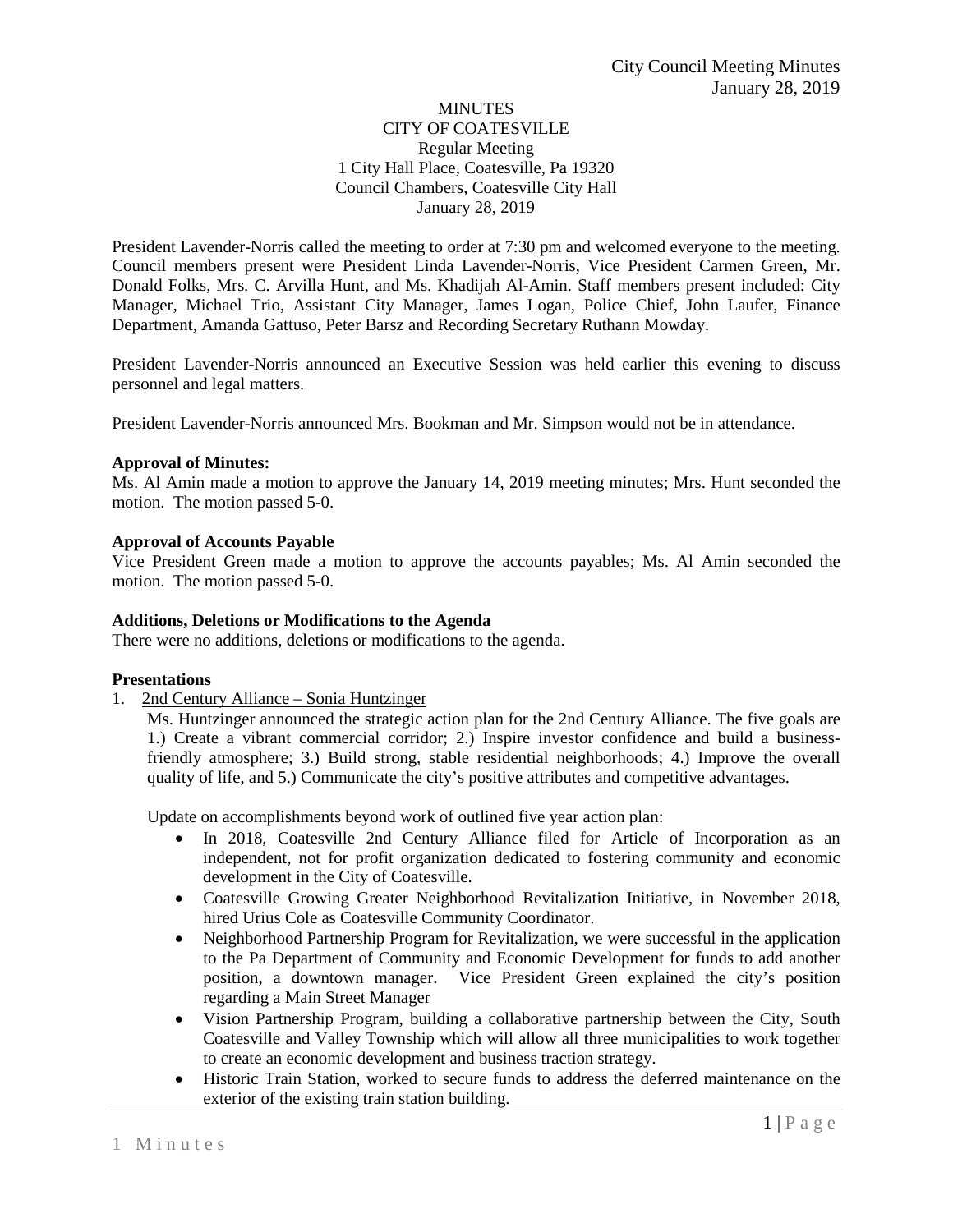## **MINUTES** CITY OF COATESVILLE Regular Meeting 1 City Hall Place, Coatesville, Pa 19320 Council Chambers, Coatesville City Hall January 28, 2019

President Lavender-Norris called the meeting to order at 7:30 pm and welcomed everyone to the meeting. Council members present were President Linda Lavender-Norris, Vice President Carmen Green, Mr. Donald Folks, Mrs. C. Arvilla Hunt, and Ms. Khadijah Al-Amin. Staff members present included: City Manager, Michael Trio, Assistant City Manager, James Logan, Police Chief, John Laufer, Finance Department, Amanda Gattuso, Peter Barsz and Recording Secretary Ruthann Mowday.

President Lavender-Norris announced an Executive Session was held earlier this evening to discuss personnel and legal matters.

President Lavender-Norris announced Mrs. Bookman and Mr. Simpson would not be in attendance.

#### **Approval of Minutes:**

Ms. Al Amin made a motion to approve the January 14, 2019 meeting minutes; Mrs. Hunt seconded the motion. The motion passed 5-0.

#### **Approval of Accounts Payable**

Vice President Green made a motion to approve the accounts payables; Ms. Al Amin seconded the motion. The motion passed 5-0.

#### **Additions, Deletions or Modifications to the Agenda**

There were no additions, deletions or modifications to the agenda.

#### **Presentations**

1. 2nd Century Alliance – Sonia Huntzinger

Ms. Huntzinger announced the strategic action plan for the 2nd Century Alliance. The five goals are 1.) Create a vibrant commercial corridor; 2.) Inspire investor confidence and build a businessfriendly atmosphere; 3.) Build strong, stable residential neighborhoods; 4.) Improve the overall quality of life, and 5.) Communicate the city's positive attributes and competitive advantages.

Update on accomplishments beyond work of outlined five year action plan:

- In 2018, Coatesville 2nd Century Alliance filed for Article of Incorporation as an independent, not for profit organization dedicated to fostering community and economic development in the City of Coatesville.
- Coatesville Growing Greater Neighborhood Revitalization Initiative, in November 2018, hired Urius Cole as Coatesville Community Coordinator.
- Neighborhood Partnership Program for Revitalization, we were successful in the application to the Pa Department of Community and Economic Development for funds to add another position, a downtown manager. Vice President Green explained the city's position regarding a Main Street Manager
- Vision Partnership Program, building a collaborative partnership between the City, South Coatesville and Valley Township which will allow all three municipalities to work together to create an economic development and business traction strategy.
- Historic Train Station, worked to secure funds to address the deferred maintenance on the exterior of the existing train station building.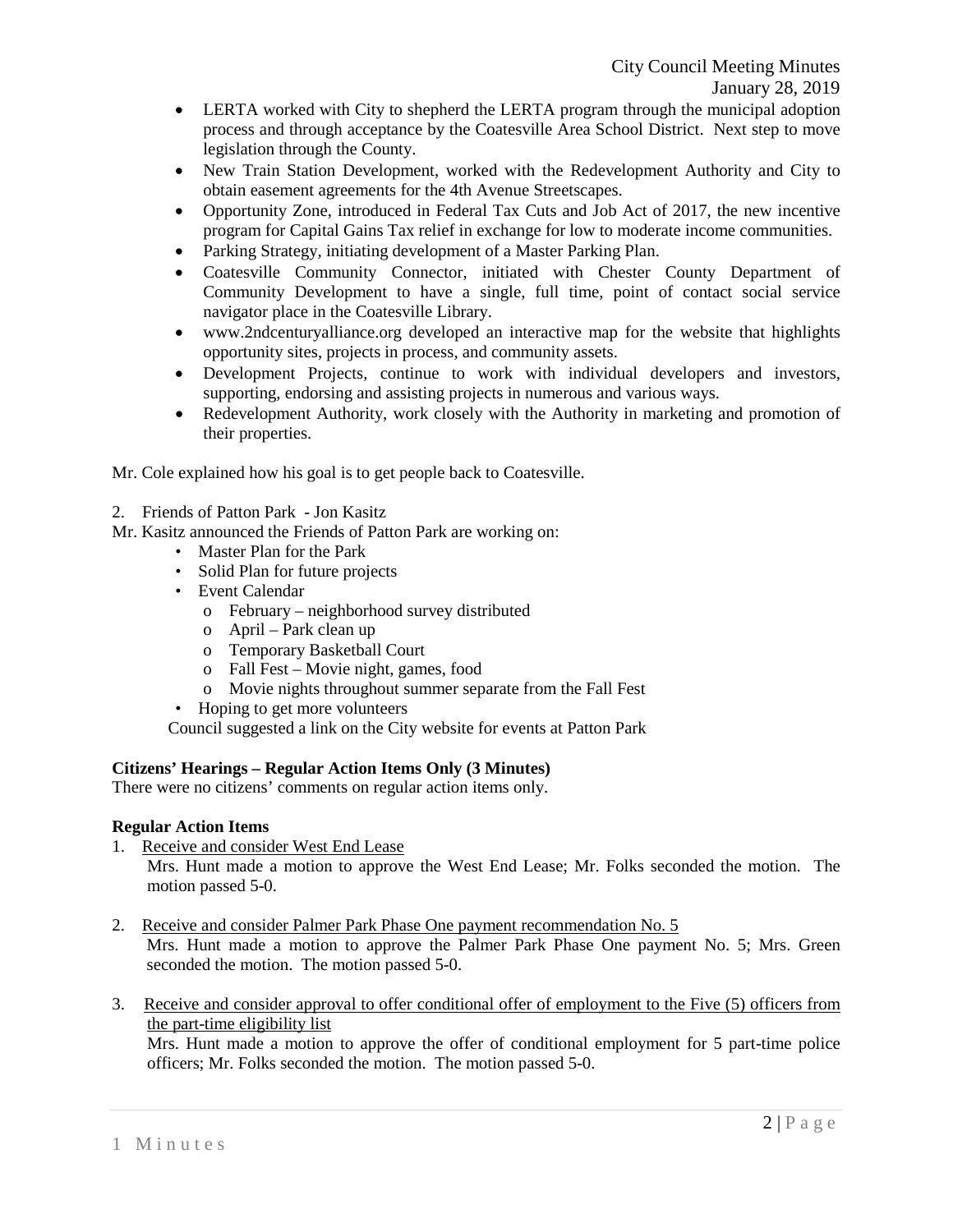- LERTA worked with City to shepherd the LERTA program through the municipal adoption process and through acceptance by the Coatesville Area School District. Next step to move legislation through the County.
- New Train Station Development, worked with the Redevelopment Authority and City to obtain easement agreements for the 4th Avenue Streetscapes.
- Opportunity Zone, introduced in Federal Tax Cuts and Job Act of 2017, the new incentive program for Capital Gains Tax relief in exchange for low to moderate income communities.
- Parking Strategy, initiating development of a Master Parking Plan.
- Coatesville Community Connector, initiated with Chester County Department of Community Development to have a single, full time, point of contact social service navigator place in the Coatesville Library.
- www.2ndcenturyalliance.org developed an interactive map for the website that highlights opportunity sites, projects in process, and community assets.
- Development Projects, continue to work with individual developers and investors, supporting, endorsing and assisting projects in numerous and various ways.
- Redevelopment Authority, work closely with the Authority in marketing and promotion of their properties.

Mr. Cole explained how his goal is to get people back to Coatesville.

- 2. Friends of Patton Park Jon Kasitz
- Mr. Kasitz announced the Friends of Patton Park are working on:
	- Master Plan for the Park
	- Solid Plan for future projects
	- Event Calendar
		- o February neighborhood survey distributed
		- o April Park clean up
		- o Temporary Basketball Court
		- o Fall Fest Movie night, games, food
		- o Movie nights throughout summer separate from the Fall Fest
	- Hoping to get more volunteers

Council suggested a link on the City website for events at Patton Park

## **Citizens' Hearings – Regular Action Items Only (3 Minutes)**

There were no citizens' comments on regular action items only.

## **Regular Action Items**

1. Receive and consider West End Lease

Mrs. Hunt made a motion to approve the West End Lease; Mr. Folks seconded the motion. The motion passed 5-0.

- 2. Receive and consider Palmer Park Phase One payment recommendation No. 5 Mrs. Hunt made a motion to approve the Palmer Park Phase One payment No. 5; Mrs. Green seconded the motion. The motion passed 5-0.
- 3. Receive and consider approval to offer conditional offer of employment to the Five (5) officers from the part-time eligibility list

Mrs. Hunt made a motion to approve the offer of conditional employment for 5 part-time police officers; Mr. Folks seconded the motion. The motion passed 5-0.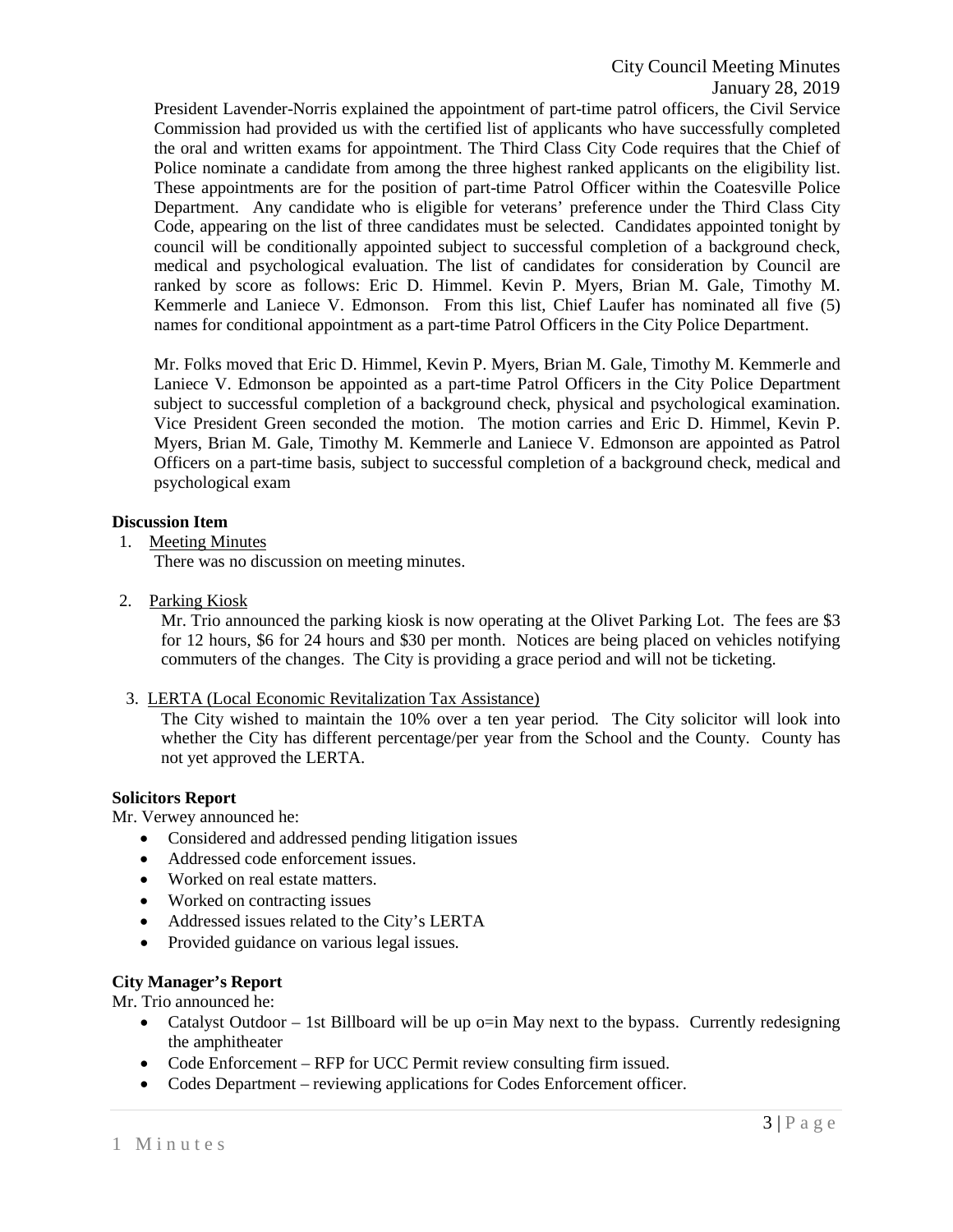President Lavender-Norris explained the appointment of part-time patrol officers, the Civil Service Commission had provided us with the certified list of applicants who have successfully completed the oral and written exams for appointment. The Third Class City Code requires that the Chief of Police nominate a candidate from among the three highest ranked applicants on the eligibility list. These appointments are for the position of part-time Patrol Officer within the Coatesville Police Department. Any candidate who is eligible for veterans' preference under the Third Class City Code, appearing on the list of three candidates must be selected. Candidates appointed tonight by council will be conditionally appointed subject to successful completion of a background check, medical and psychological evaluation. The list of candidates for consideration by Council are ranked by score as follows: Eric D. Himmel. Kevin P. Myers, Brian M. Gale, Timothy M. Kemmerle and Laniece V. Edmonson. From this list, Chief Laufer has nominated all five (5) names for conditional appointment as a part-time Patrol Officers in the City Police Department.

Mr. Folks moved that Eric D. Himmel, Kevin P. Myers, Brian M. Gale, Timothy M. Kemmerle and Laniece V. Edmonson be appointed as a part-time Patrol Officers in the City Police Department subject to successful completion of a background check, physical and psychological examination. Vice President Green seconded the motion. The motion carries and Eric D. Himmel, Kevin P. Myers, Brian M. Gale, Timothy M. Kemmerle and Laniece V. Edmonson are appointed as Patrol Officers on a part-time basis, subject to successful completion of a background check, medical and psychological exam

# **Discussion Item**

1. Meeting Minutes

There was no discussion on meeting minutes.

2. Parking Kiosk

Mr. Trio announced the parking kiosk is now operating at the Olivet Parking Lot. The fees are \$3 for 12 hours, \$6 for 24 hours and \$30 per month. Notices are being placed on vehicles notifying commuters of the changes. The City is providing a grace period and will not be ticketing.

3. LERTA (Local Economic Revitalization Tax Assistance)

The City wished to maintain the 10% over a ten year period. The City solicitor will look into whether the City has different percentage/per year from the School and the County. County has not yet approved the LERTA.

#### **Solicitors Report**

Mr. Verwey announced he:

- Considered and addressed pending litigation issues
- Addressed code enforcement issues.
- Worked on real estate matters.
- Worked on contracting issues
- Addressed issues related to the City's LERTA
- Provided guidance on various legal issues.

## **City Manager's Report**

Mr. Trio announced he:

- Catalyst Outdoor 1st Billboard will be up  $o=$ in May next to the bypass. Currently redesigning the amphitheater
- Code Enforcement RFP for UCC Permit review consulting firm issued.
- Codes Department reviewing applications for Codes Enforcement officer.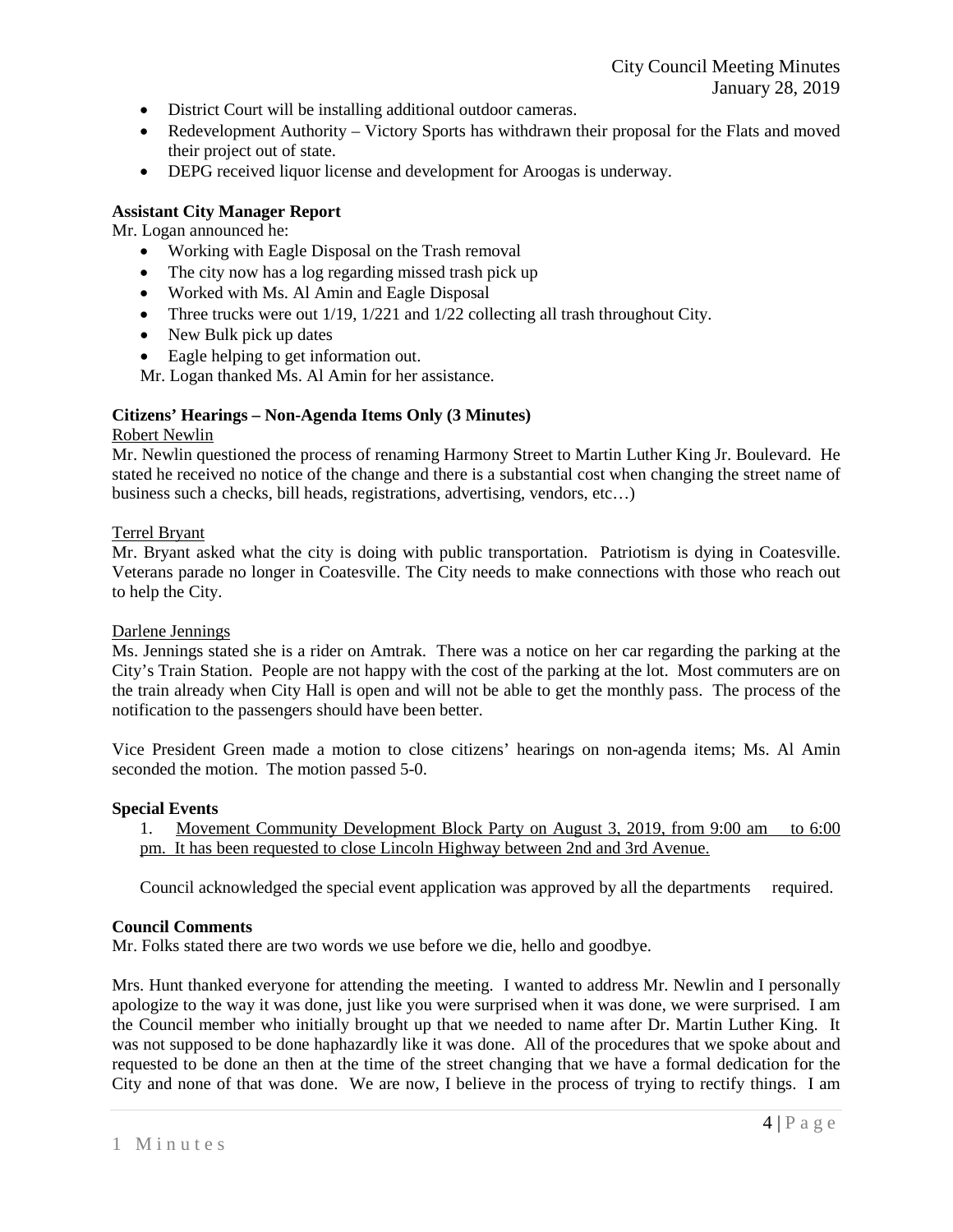- District Court will be installing additional outdoor cameras.
- Redevelopment Authority Victory Sports has withdrawn their proposal for the Flats and moved their project out of state.
- DEPG received liquor license and development for Aroogas is underway.

# **Assistant City Manager Report**

Mr. Logan announced he:

- Working with Eagle Disposal on the Trash removal
- The city now has a log regarding missed trash pick up
- Worked with Ms. Al Amin and Eagle Disposal
- Three trucks were out 1/19, 1/221 and 1/22 collecting all trash throughout City.
- New Bulk pick up dates
- Eagle helping to get information out.

Mr. Logan thanked Ms. Al Amin for her assistance.

# **Citizens' Hearings – Non-Agenda Items Only (3 Minutes)**

## Robert Newlin

Mr. Newlin questioned the process of renaming Harmony Street to Martin Luther King Jr. Boulevard. He stated he received no notice of the change and there is a substantial cost when changing the street name of business such a checks, bill heads, registrations, advertising, vendors, etc…)

# Terrel Bryant

Mr. Bryant asked what the city is doing with public transportation. Patriotism is dying in Coatesville. Veterans parade no longer in Coatesville. The City needs to make connections with those who reach out to help the City.

## Darlene Jennings

Ms. Jennings stated she is a rider on Amtrak. There was a notice on her car regarding the parking at the City's Train Station. People are not happy with the cost of the parking at the lot. Most commuters are on the train already when City Hall is open and will not be able to get the monthly pass. The process of the notification to the passengers should have been better.

Vice President Green made a motion to close citizens' hearings on non-agenda items; Ms. Al Amin seconded the motion. The motion passed 5-0.

## **Special Events**

1. Movement Community Development Block Party on August 3, 2019, from 9:00 am to 6:00 pm. It has been requested to close Lincoln Highway between 2nd and 3rd Avenue.

Council acknowledged the special event application was approved by all the departments required.

## **Council Comments**

Mr. Folks stated there are two words we use before we die, hello and goodbye.

Mrs. Hunt thanked everyone for attending the meeting. I wanted to address Mr. Newlin and I personally apologize to the way it was done, just like you were surprised when it was done, we were surprised. I am the Council member who initially brought up that we needed to name after Dr. Martin Luther King. It was not supposed to be done haphazardly like it was done. All of the procedures that we spoke about and requested to be done an then at the time of the street changing that we have a formal dedication for the City and none of that was done. We are now, I believe in the process of trying to rectify things. I am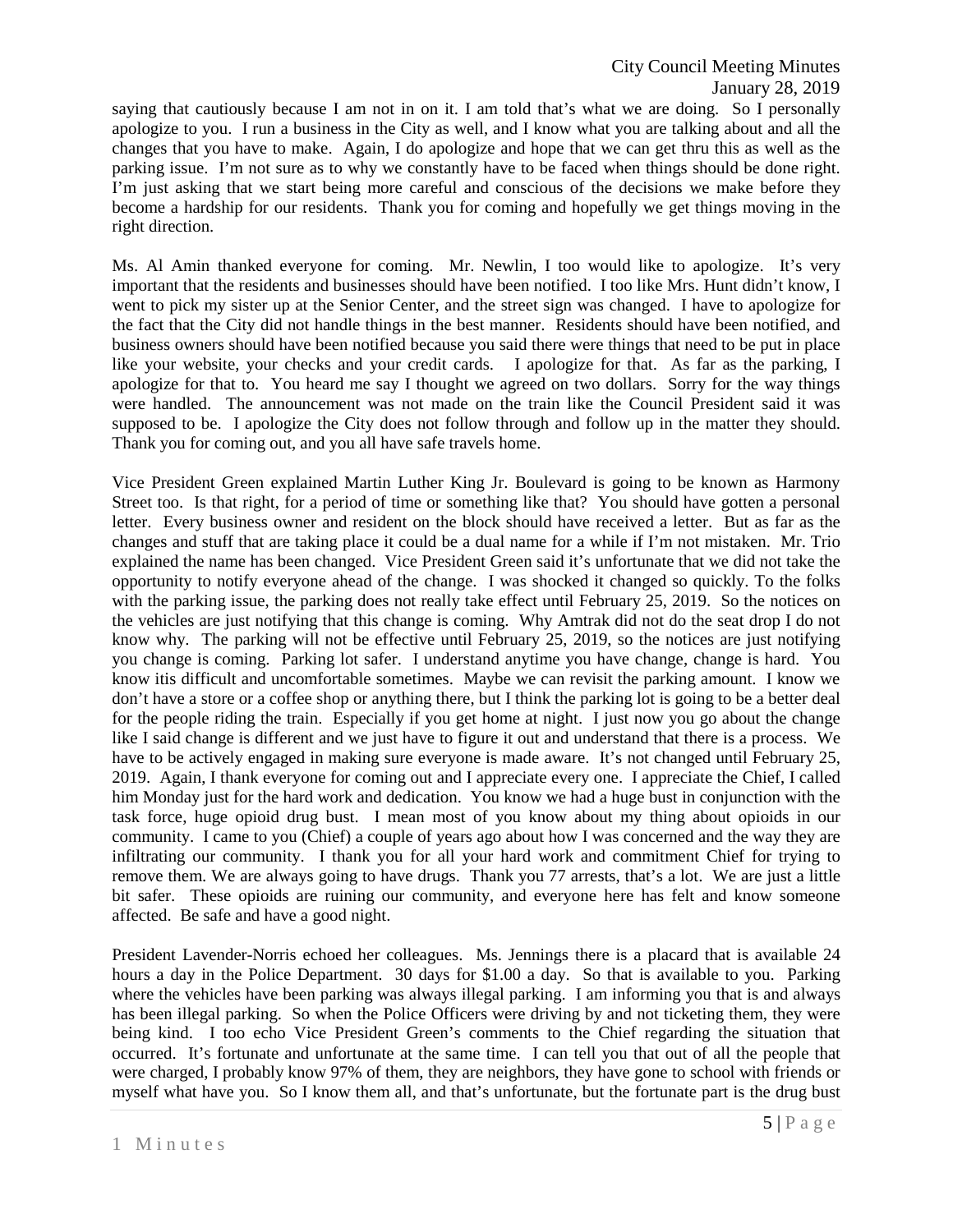saying that cautiously because I am not in on it. I am told that's what we are doing. So I personally apologize to you. I run a business in the City as well, and I know what you are talking about and all the changes that you have to make. Again, I do apologize and hope that we can get thru this as well as the parking issue. I'm not sure as to why we constantly have to be faced when things should be done right. I'm just asking that we start being more careful and conscious of the decisions we make before they become a hardship for our residents. Thank you for coming and hopefully we get things moving in the right direction.

Ms. Al Amin thanked everyone for coming. Mr. Newlin, I too would like to apologize. It's very important that the residents and businesses should have been notified. I too like Mrs. Hunt didn't know, I went to pick my sister up at the Senior Center, and the street sign was changed. I have to apologize for the fact that the City did not handle things in the best manner. Residents should have been notified, and business owners should have been notified because you said there were things that need to be put in place like your website, your checks and your credit cards. I apologize for that. As far as the parking, I apologize for that to. You heard me say I thought we agreed on two dollars. Sorry for the way things were handled. The announcement was not made on the train like the Council President said it was supposed to be. I apologize the City does not follow through and follow up in the matter they should. Thank you for coming out, and you all have safe travels home.

Vice President Green explained Martin Luther King Jr. Boulevard is going to be known as Harmony Street too. Is that right, for a period of time or something like that? You should have gotten a personal letter. Every business owner and resident on the block should have received a letter. But as far as the changes and stuff that are taking place it could be a dual name for a while if I'm not mistaken. Mr. Trio explained the name has been changed. Vice President Green said it's unfortunate that we did not take the opportunity to notify everyone ahead of the change. I was shocked it changed so quickly. To the folks with the parking issue, the parking does not really take effect until February 25, 2019. So the notices on the vehicles are just notifying that this change is coming. Why Amtrak did not do the seat drop I do not know why. The parking will not be effective until February 25, 2019, so the notices are just notifying you change is coming. Parking lot safer. I understand anytime you have change, change is hard. You know itis difficult and uncomfortable sometimes. Maybe we can revisit the parking amount. I know we don't have a store or a coffee shop or anything there, but I think the parking lot is going to be a better deal for the people riding the train. Especially if you get home at night. I just now you go about the change like I said change is different and we just have to figure it out and understand that there is a process. We have to be actively engaged in making sure everyone is made aware. It's not changed until February 25, 2019. Again, I thank everyone for coming out and I appreciate every one. I appreciate the Chief, I called him Monday just for the hard work and dedication. You know we had a huge bust in conjunction with the task force, huge opioid drug bust. I mean most of you know about my thing about opioids in our community. I came to you (Chief) a couple of years ago about how I was concerned and the way they are infiltrating our community. I thank you for all your hard work and commitment Chief for trying to remove them. We are always going to have drugs. Thank you 77 arrests, that's a lot. We are just a little bit safer. These opioids are ruining our community, and everyone here has felt and know someone affected. Be safe and have a good night.

President Lavender-Norris echoed her colleagues. Ms. Jennings there is a placard that is available 24 hours a day in the Police Department. 30 days for \$1.00 a day. So that is available to you. Parking where the vehicles have been parking was always illegal parking. I am informing you that is and always has been illegal parking. So when the Police Officers were driving by and not ticketing them, they were being kind. I too echo Vice President Green's comments to the Chief regarding the situation that occurred. It's fortunate and unfortunate at the same time. I can tell you that out of all the people that were charged, I probably know 97% of them, they are neighbors, they have gone to school with friends or myself what have you. So I know them all, and that's unfortunate, but the fortunate part is the drug bust